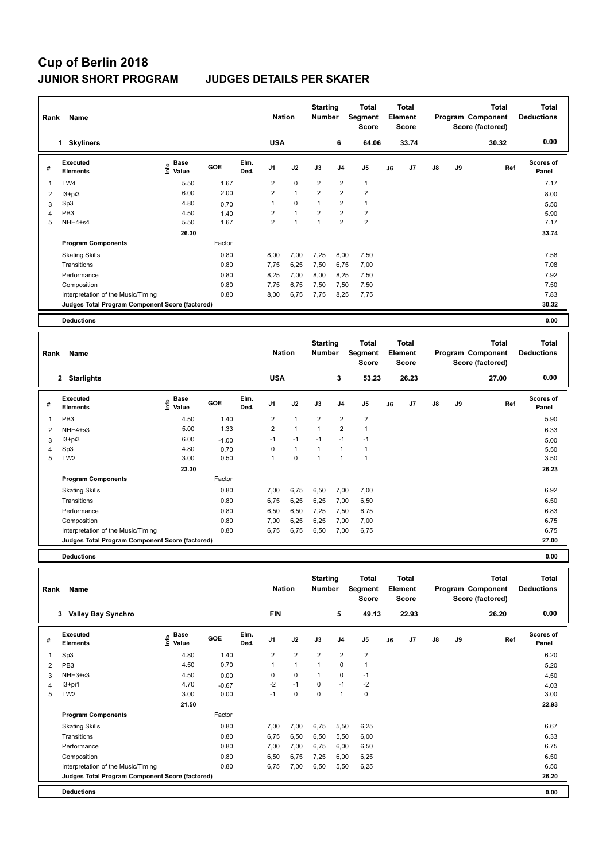# **Cup of Berlin 2018 JUNIOR SHORT PROGRAM JUDGES DETAILS PER SKATER**

| Name<br>Rank   |                                                 |                              |        |              | <b>Nation</b>  |                | <b>Starting</b><br><b>Number</b> |                | Total<br>Segment<br><b>Score</b> | <b>Total</b><br>Element<br><b>Score</b> |       |               |    | <b>Total</b><br>Program Component<br>Score (factored) | Total<br><b>Deductions</b> |
|----------------|-------------------------------------------------|------------------------------|--------|--------------|----------------|----------------|----------------------------------|----------------|----------------------------------|-----------------------------------------|-------|---------------|----|-------------------------------------------------------|----------------------------|
|                | <b>Skyliners</b><br>1                           |                              |        |              | <b>USA</b>     |                |                                  | 6              | 64.06                            |                                         | 33.74 |               |    | 30.32                                                 | 0.00                       |
| #              | Executed<br><b>Elements</b>                     | <b>Base</b><br>lnfo<br>Value | GOE    | Elm.<br>Ded. | J <sub>1</sub> | J2             | J3                               | J <sub>4</sub> | J <sub>5</sub>                   | J6                                      | J7    | $\mathsf{J}8$ | J9 | Ref                                                   | <b>Scores of</b><br>Panel  |
| 1              | TW4                                             | 5.50                         | 1.67   |              | $\overline{2}$ | $\mathbf 0$    | $\overline{2}$                   | $\overline{2}$ | $\mathbf{1}$                     |                                         |       |               |    |                                                       | 7.17                       |
| 2              | I3+pi3                                          | 6.00                         | 2.00   |              | $\overline{2}$ | $\overline{1}$ | $\overline{2}$                   | $\overline{2}$ | $\overline{2}$                   |                                         |       |               |    |                                                       | 8.00                       |
| 3              | Sp3                                             | 4.80                         | 0.70   |              | 1              | $\mathbf 0$    | 1                                | $\overline{2}$ | $\mathbf{1}$                     |                                         |       |               |    |                                                       | 5.50                       |
| $\overline{4}$ | PB <sub>3</sub>                                 | 4.50                         | 1.40   |              | $\overline{2}$ | $\mathbf{1}$   | $\overline{2}$                   | $\overline{2}$ | $\overline{2}$                   |                                         |       |               |    |                                                       | 5.90                       |
| 5              | NHE4+s4                                         | 5.50                         | 1.67   |              | $\overline{2}$ | 1              | 1                                | $\overline{2}$ | $\overline{2}$                   |                                         |       |               |    |                                                       | 7.17                       |
|                |                                                 | 26.30                        |        |              |                |                |                                  |                |                                  |                                         |       |               |    |                                                       | 33.74                      |
|                | <b>Program Components</b>                       |                              | Factor |              |                |                |                                  |                |                                  |                                         |       |               |    |                                                       |                            |
|                | <b>Skating Skills</b>                           |                              | 0.80   |              | 8,00           | 7,00           | 7,25                             | 8,00           | 7,50                             |                                         |       |               |    |                                                       | 7.58                       |
|                | Transitions                                     |                              | 0.80   |              | 7.75           | 6,25           | 7,50                             | 6,75           | 7,00                             |                                         |       |               |    |                                                       | 7.08                       |
|                | Performance                                     |                              | 0.80   |              | 8,25           | 7,00           | 8,00                             | 8,25           | 7,50                             |                                         |       |               |    |                                                       | 7.92                       |
|                | Composition                                     |                              | 0.80   |              | 7,75           | 6,75           | 7,50                             | 7,50           | 7,50                             |                                         |       |               |    |                                                       | 7.50                       |
|                | Interpretation of the Music/Timing              |                              | 0.80   |              | 8,00           | 6,75           | 7,75                             | 8,25           | 7,75                             |                                         |       |               |    |                                                       | 7.83                       |
|                | Judges Total Program Component Score (factored) |                              |        |              |                |                |                                  |                |                                  |                                         |       |               |    |                                                       | 30.32                      |
|                | <b>Deductions</b>                               |                              |        |              |                |                |                                  |                |                                  |                                         |       |               |    |                                                       | 0.00                       |

| Rank | Name                                            |                     |            |              | <b>Nation</b>  |                | <b>Starting</b><br><b>Number</b> |                | <b>Total</b><br>Segment<br><b>Score</b> |    | <b>Total</b><br><b>Element</b><br><b>Score</b> |               |    | <b>Total</b><br>Program Component<br>Score (factored) | <b>Total</b><br><b>Deductions</b> |
|------|-------------------------------------------------|---------------------|------------|--------------|----------------|----------------|----------------------------------|----------------|-----------------------------------------|----|------------------------------------------------|---------------|----|-------------------------------------------------------|-----------------------------------|
|      | 2 Starlights                                    |                     |            |              | <b>USA</b>     |                |                                  | 3              | 53.23                                   |    | 26.23                                          |               |    | 27.00                                                 | 0.00                              |
| #    | Executed<br><b>Elements</b>                     | Base<br>١m<br>Value | <b>GOE</b> | Elm.<br>Ded. | J <sub>1</sub> | J2             | J3                               | J <sub>4</sub> | J <sub>5</sub>                          | J6 | J7                                             | $\mathsf{J}8$ | J9 | Ref                                                   | <b>Scores of</b><br>Panel         |
| 1    | PB <sub>3</sub>                                 | 4.50                | 1.40       |              | 2              | 1              | $\overline{2}$                   | $\overline{2}$ | $\overline{2}$                          |    |                                                |               |    |                                                       | 5.90                              |
| 2    | NHE4+s3                                         | 5.00                | 1.33       |              | $\overline{2}$ | $\overline{1}$ | 1                                | $\overline{2}$ | $\overline{1}$                          |    |                                                |               |    |                                                       | 6.33                              |
| 3    | $13 + pi3$                                      | 6.00                | $-1.00$    |              | $-1$           | $-1$           | $-1$                             | $-1$           | $-1$                                    |    |                                                |               |    |                                                       | 5.00                              |
| 4    | Sp3                                             | 4.80                | 0.70       |              | 0              | $\mathbf{1}$   | -1                               | 1              | 1                                       |    |                                                |               |    |                                                       | 5.50                              |
| 5    | TW <sub>2</sub>                                 | 3.00                | 0.50       |              | 1              | $\mathbf 0$    | 1                                | $\overline{1}$ | 1                                       |    |                                                |               |    |                                                       | 3.50                              |
|      |                                                 | 23.30               |            |              |                |                |                                  |                |                                         |    |                                                |               |    |                                                       | 26.23                             |
|      | <b>Program Components</b>                       |                     | Factor     |              |                |                |                                  |                |                                         |    |                                                |               |    |                                                       |                                   |
|      | <b>Skating Skills</b>                           |                     | 0.80       |              | 7,00           | 6,75           | 6,50                             | 7,00           | 7,00                                    |    |                                                |               |    |                                                       | 6.92                              |
|      | Transitions                                     |                     | 0.80       |              | 6,75           | 6,25           | 6,25                             | 7,00           | 6,50                                    |    |                                                |               |    |                                                       | 6.50                              |
|      | Performance                                     |                     | 0.80       |              | 6,50           | 6,50           | 7,25                             | 7,50           | 6,75                                    |    |                                                |               |    |                                                       | 6.83                              |
|      | Composition                                     |                     | 0.80       |              | 7,00           | 6,25           | 6,25                             | 7,00           | 7,00                                    |    |                                                |               |    |                                                       | 6.75                              |
|      | Interpretation of the Music/Timing              |                     | 0.80       |              | 6,75           | 6,75           | 6,50                             | 7,00           | 6,75                                    |    |                                                |               |    |                                                       | 6.75                              |
|      | Judges Total Program Component Score (factored) |                     |            |              |                |                |                                  |                |                                         |    |                                                |               |    |                                                       | 27.00                             |
|      |                                                 |                     |            |              |                |                |                                  |                |                                         |    |                                                |               |    |                                                       |                                   |

**Deductions 0.00**

| Name<br>Rank |                                                 |                              |         |              | <b>Nation</b>  |                | <b>Starting</b><br><b>Number</b> |                | <b>Total</b><br>Segment<br><b>Score</b> | Total<br>Element<br><b>Score</b> |                |               |    | Total<br>Program Component<br>Score (factored) | <b>Total</b><br><b>Deductions</b> |
|--------------|-------------------------------------------------|------------------------------|---------|--------------|----------------|----------------|----------------------------------|----------------|-----------------------------------------|----------------------------------|----------------|---------------|----|------------------------------------------------|-----------------------------------|
|              | <b>Valley Bay Synchro</b><br>3                  |                              |         |              | <b>FIN</b>     |                |                                  | 5              | 49.13                                   |                                  | 22.93          |               |    | 26.20                                          | 0.00                              |
| #            | <b>Executed</b><br><b>Elements</b>              | <b>Base</b><br>lnfo<br>Value | GOE     | Elm.<br>Ded. | J <sub>1</sub> | J2             | J3                               | J <sub>4</sub> | J <sub>5</sub>                          | J6                               | J <sub>7</sub> | $\mathsf{J}8$ | J9 | Ref                                            | Scores of<br>Panel                |
| 1            | Sp3                                             | 4.80                         | 1.40    |              | 2              | $\overline{2}$ | $\overline{2}$                   | $\overline{2}$ | $\overline{2}$                          |                                  |                |               |    |                                                | 6.20                              |
| 2            | PB <sub>3</sub>                                 | 4.50                         | 0.70    |              |                | $\mathbf{1}$   | 1                                | 0              | $\mathbf{1}$                            |                                  |                |               |    |                                                | 5.20                              |
| 3            | NHE3+s3                                         | 4.50                         | 0.00    |              | 0              | $\mathbf 0$    | 1                                | $\mathbf 0$    | $-1$                                    |                                  |                |               |    |                                                | 4.50                              |
| 4            | $13+pi1$                                        | 4.70                         | $-0.67$ |              | $-2$           | $-1$           | $\mathbf 0$                      | $-1$           | $-2$                                    |                                  |                |               |    |                                                | 4.03                              |
| 5            | TW <sub>2</sub>                                 | 3.00                         | 0.00    |              | $-1$           | 0              | $\mathbf 0$                      | $\mathbf{1}$   | $\pmb{0}$                               |                                  |                |               |    |                                                | 3.00                              |
|              |                                                 | 21.50                        |         |              |                |                |                                  |                |                                         |                                  |                |               |    |                                                | 22.93                             |
|              | <b>Program Components</b>                       |                              | Factor  |              |                |                |                                  |                |                                         |                                  |                |               |    |                                                |                                   |
|              | <b>Skating Skills</b>                           |                              | 0.80    |              | 7,00           | 7,00           | 6,75                             | 5,50           | 6,25                                    |                                  |                |               |    |                                                | 6.67                              |
|              | Transitions                                     |                              | 0.80    |              | 6,75           | 6,50           | 6,50                             | 5,50           | 6,00                                    |                                  |                |               |    |                                                | 6.33                              |
|              | Performance                                     |                              | 0.80    |              | 7,00           | 7,00           | 6,75                             | 6,00           | 6,50                                    |                                  |                |               |    |                                                | 6.75                              |
|              | Composition                                     |                              | 0.80    |              | 6,50           | 6,75           | 7,25                             | 6,00           | 6,25                                    |                                  |                |               |    |                                                | 6.50                              |
|              | Interpretation of the Music/Timing              |                              | 0.80    |              | 6,75           | 7,00           | 6,50                             | 5,50           | 6,25                                    |                                  |                |               |    |                                                | 6.50                              |
|              | Judges Total Program Component Score (factored) |                              |         |              |                |                |                                  |                |                                         |                                  |                |               |    |                                                | 26.20                             |
|              | <b>Deductions</b>                               |                              |         |              |                |                |                                  |                |                                         |                                  |                |               |    |                                                | 0.00                              |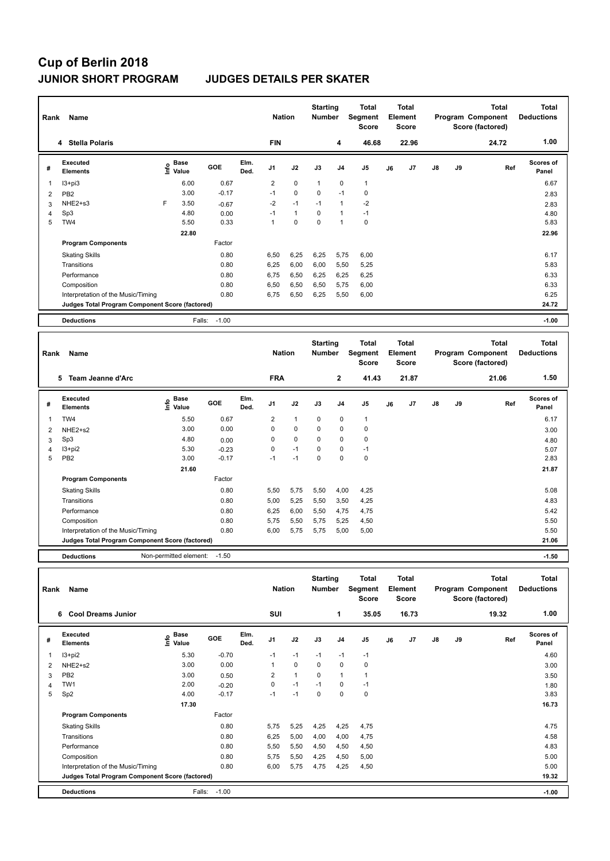# **Cup of Berlin 2018 JUNIOR SHORT PROGRAM JUDGES DETAILS PER SKATER**

| Name<br>Rank   |                                                 |      |                      |         |              | <b>Nation</b>  |              | <b>Starting</b><br><b>Number</b> |                | <b>Total</b><br>Segment<br><b>Score</b> | <b>Total</b><br>Element<br><b>Score</b> |       |               |    | Total<br>Program Component<br>Score (factored) | <b>Total</b><br><b>Deductions</b> |
|----------------|-------------------------------------------------|------|----------------------|---------|--------------|----------------|--------------|----------------------------------|----------------|-----------------------------------------|-----------------------------------------|-------|---------------|----|------------------------------------------------|-----------------------------------|
|                | 4 Stella Polaris                                |      |                      |         |              | <b>FIN</b>     |              |                                  | 4              | 46.68                                   |                                         | 22.96 |               |    | 24.72                                          | 1.00                              |
| #              | Executed<br><b>Elements</b>                     | ١nf٥ | <b>Base</b><br>Value | GOE     | Elm.<br>Ded. | J <sub>1</sub> | J2           | J3                               | J <sub>4</sub> | J <sub>5</sub>                          | J6                                      | J7    | $\mathsf{J}8$ | J9 | Ref                                            | <b>Scores of</b><br>Panel         |
| 1              | $13 + pi3$                                      |      | 6.00                 | 0.67    |              | $\overline{2}$ | $\mathbf 0$  | $\overline{1}$                   | $\mathbf 0$    | $\mathbf{1}$                            |                                         |       |               |    |                                                | 6.67                              |
| $\overline{2}$ | PB <sub>2</sub>                                 |      | 3.00                 | $-0.17$ |              | $-1$           | $\mathbf 0$  | $\mathbf 0$                      | $-1$           | 0                                       |                                         |       |               |    |                                                | 2.83                              |
| 3              | NHE2+s3                                         | F    | 3.50                 | $-0.67$ |              | $-2$           | $-1$         | $-1$                             | $\overline{1}$ | -2                                      |                                         |       |               |    |                                                | 2.83                              |
| 4              | Sp3                                             |      | 4.80                 | 0.00    |              | $-1$           | $\mathbf{1}$ | $\Omega$                         | $\overline{1}$ | $-1$                                    |                                         |       |               |    |                                                | 4.80                              |
| 5              | TW4                                             |      | 5.50                 | 0.33    |              | $\mathbf{1}$   | $\Omega$     | $\Omega$                         | $\overline{1}$ | $\mathbf 0$                             |                                         |       |               |    |                                                | 5.83                              |
|                |                                                 |      | 22.80                |         |              |                |              |                                  |                |                                         |                                         |       |               |    |                                                | 22.96                             |
|                | <b>Program Components</b>                       |      |                      | Factor  |              |                |              |                                  |                |                                         |                                         |       |               |    |                                                |                                   |
|                | <b>Skating Skills</b>                           |      |                      | 0.80    |              | 6,50           | 6,25         | 6,25                             | 5,75           | 6,00                                    |                                         |       |               |    |                                                | 6.17                              |
|                | Transitions                                     |      |                      | 0.80    |              | 6,25           | 6,00         | 6,00                             | 5,50           | 5,25                                    |                                         |       |               |    |                                                | 5.83                              |
|                | Performance                                     |      |                      | 0.80    |              | 6,75           | 6,50         | 6,25                             | 6,25           | 6,25                                    |                                         |       |               |    |                                                | 6.33                              |
|                | Composition                                     |      |                      | 0.80    |              | 6,50           | 6,50         | 6,50                             | 5,75           | 6,00                                    |                                         |       |               |    |                                                | 6.33                              |
|                | Interpretation of the Music/Timing              |      |                      | 0.80    |              | 6,75           | 6,50         | 6,25                             | 5,50           | 6,00                                    |                                         |       |               |    |                                                | 6.25                              |
|                | Judges Total Program Component Score (factored) |      |                      |         |              |                |              |                                  |                |                                         |                                         |       |               |    |                                                | 24.72                             |
|                | <b>Deductions</b>                               |      | Falls:               | $-1.00$ |              |                |              |                                  |                |                                         |                                         |       |               |    |                                                | $-1.00$                           |

| Rank | Name                                            |                        |         |              | <b>Nation</b>  |              | <b>Starting</b><br><b>Number</b> |                | <b>Total</b><br>Segment<br><b>Score</b> |    | <b>Total</b><br>Element<br><b>Score</b> |               |    | <b>Total</b><br>Program Component<br>Score (factored) | Total<br><b>Deductions</b> |
|------|-------------------------------------------------|------------------------|---------|--------------|----------------|--------------|----------------------------------|----------------|-----------------------------------------|----|-----------------------------------------|---------------|----|-------------------------------------------------------|----------------------------|
|      | 5<br>Team Jeanne d'Arc                          |                        |         |              | <b>FRA</b>     |              |                                  | $\overline{2}$ | 41.43                                   |    | 21.87                                   |               |    | 21.06                                                 | 1.50                       |
| #    | <b>Executed</b><br><b>Elements</b>              | Base<br>١m<br>Value    | GOE     | Elm.<br>Ded. | J <sub>1</sub> | J2           | J3                               | J <sub>4</sub> | J <sub>5</sub>                          | J6 | J <sub>7</sub>                          | $\mathsf{J}8$ | J9 | Ref                                                   | Scores of<br>Panel         |
| 1    | TW4                                             | 5.50                   | 0.67    |              | $\overline{2}$ | $\mathbf{1}$ | 0                                | 0              | $\mathbf{1}$                            |    |                                         |               |    |                                                       | 6.17                       |
| 2    | NHE2+s2                                         | 3.00                   | 0.00    |              | 0              | 0            | 0                                | 0              | 0                                       |    |                                         |               |    |                                                       | 3.00                       |
| 3    | Sp3                                             | 4.80                   | 0.00    |              | 0              | $\mathbf 0$  | 0                                | 0              | $\mathbf 0$                             |    |                                         |               |    |                                                       | 4.80                       |
| 4    | I3+pi2                                          | 5.30                   | $-0.23$ |              | 0              | $-1$         | $\Omega$                         | $\Omega$       | $-1$                                    |    |                                         |               |    |                                                       | 5.07                       |
| 5    | PB <sub>2</sub>                                 | 3.00                   | $-0.17$ |              | $-1$           | $-1$         | $\Omega$                         | $\Omega$       | $\mathbf 0$                             |    |                                         |               |    |                                                       | 2.83                       |
|      |                                                 | 21.60                  |         |              |                |              |                                  |                |                                         |    |                                         |               |    |                                                       | 21.87                      |
|      | <b>Program Components</b>                       |                        | Factor  |              |                |              |                                  |                |                                         |    |                                         |               |    |                                                       |                            |
|      | <b>Skating Skills</b>                           |                        | 0.80    |              | 5,50           | 5,75         | 5,50                             | 4,00           | 4,25                                    |    |                                         |               |    |                                                       | 5.08                       |
|      | Transitions                                     |                        | 0.80    |              | 5,00           | 5,25         | 5,50                             | 3,50           | 4,25                                    |    |                                         |               |    |                                                       | 4.83                       |
|      | Performance                                     |                        | 0.80    |              | 6,25           | 6,00         | 5,50                             | 4,75           | 4,75                                    |    |                                         |               |    |                                                       | 5.42                       |
|      | Composition                                     |                        | 0.80    |              | 5,75           | 5,50         | 5,75                             | 5,25           | 4,50                                    |    |                                         |               |    |                                                       | 5.50                       |
|      | Interpretation of the Music/Timing              |                        | 0.80    |              | 6,00           | 5,75         | 5,75                             | 5,00           | 5,00                                    |    |                                         |               |    |                                                       | 5.50                       |
|      | Judges Total Program Component Score (factored) |                        |         |              |                |              |                                  |                |                                         |    |                                         |               |    |                                                       | 21.06                      |
|      | <b>Deductions</b>                               | Non-permitted element: | $-1.50$ |              |                |              |                                  |                |                                         |    |                                         |               |    |                                                       | $-1.50$                    |

| Rank | Name                                            |                             |         |              | <b>Nation</b>  |                | <b>Starting</b><br><b>Number</b> |                | <b>Total</b><br>Segment<br><b>Score</b> |    | <b>Total</b><br>Element<br><b>Score</b> |    |    | <b>Total</b><br>Program Component<br>Score (factored) | <b>Total</b><br><b>Deductions</b> |
|------|-------------------------------------------------|-----------------------------|---------|--------------|----------------|----------------|----------------------------------|----------------|-----------------------------------------|----|-----------------------------------------|----|----|-------------------------------------------------------|-----------------------------------|
|      | <b>Cool Dreams Junior</b><br>6                  |                             |         |              | SUI            |                |                                  | 1              | 35.05                                   |    | 16.73                                   |    |    | 19.32                                                 | 1.00                              |
| #    | Executed<br><b>Elements</b>                     | Base<br>$\frac{e}{E}$ Value | GOE     | Elm.<br>Ded. | J <sub>1</sub> | J2             | J3                               | J <sub>4</sub> | J <sub>5</sub>                          | J6 | J7                                      | J8 | J9 | Ref                                                   | <b>Scores of</b><br>Panel         |
|      | $13 + pi2$                                      | 5.30                        | $-0.70$ |              | $-1$           | $-1$           | $-1$                             | $-1$           | $-1$                                    |    |                                         |    |    |                                                       | 4.60                              |
| 2    | $NHE2+S2$                                       | 3.00                        | 0.00    |              | 1              | $\mathbf 0$    | 0                                | $\mathbf 0$    | 0                                       |    |                                         |    |    |                                                       | 3.00                              |
| 3    | PB <sub>2</sub>                                 | 3.00                        | 0.50    |              | $\overline{2}$ | $\overline{1}$ | $\Omega$                         | $\overline{1}$ |                                         |    |                                         |    |    |                                                       | 3.50                              |
| 4    | TW1                                             | 2.00                        | $-0.20$ |              | 0              | $-1$           | $-1$                             | 0              | $-1$                                    |    |                                         |    |    |                                                       | 1.80                              |
| 5    | Sp2                                             | 4.00                        | $-0.17$ |              | $-1$           | $-1$           | 0                                | 0              | 0                                       |    |                                         |    |    |                                                       | 3.83                              |
|      |                                                 | 17.30                       |         |              |                |                |                                  |                |                                         |    |                                         |    |    |                                                       | 16.73                             |
|      | <b>Program Components</b>                       |                             | Factor  |              |                |                |                                  |                |                                         |    |                                         |    |    |                                                       |                                   |
|      | <b>Skating Skills</b>                           |                             | 0.80    |              | 5,75           | 5,25           | 4,25                             | 4,25           | 4,75                                    |    |                                         |    |    |                                                       | 4.75                              |
|      | Transitions                                     |                             | 0.80    |              | 6,25           | 5,00           | 4,00                             | 4,00           | 4,75                                    |    |                                         |    |    |                                                       | 4.58                              |
|      | Performance                                     |                             | 0.80    |              | 5,50           | 5,50           | 4,50                             | 4,50           | 4,50                                    |    |                                         |    |    |                                                       | 4.83                              |
|      | Composition                                     |                             | 0.80    |              | 5,75           | 5,50           | 4,25                             | 4,50           | 5,00                                    |    |                                         |    |    |                                                       | 5.00                              |
|      | Interpretation of the Music/Timing              |                             | 0.80    |              | 6,00           | 5,75           | 4,75                             | 4,25           | 4,50                                    |    |                                         |    |    |                                                       | 5.00                              |
|      | Judges Total Program Component Score (factored) |                             |         |              |                |                |                                  |                |                                         |    |                                         |    |    |                                                       | 19.32                             |
|      | <b>Deductions</b>                               | Falls:                      | $-1.00$ |              |                |                |                                  |                |                                         |    |                                         |    |    |                                                       | $-1.00$                           |